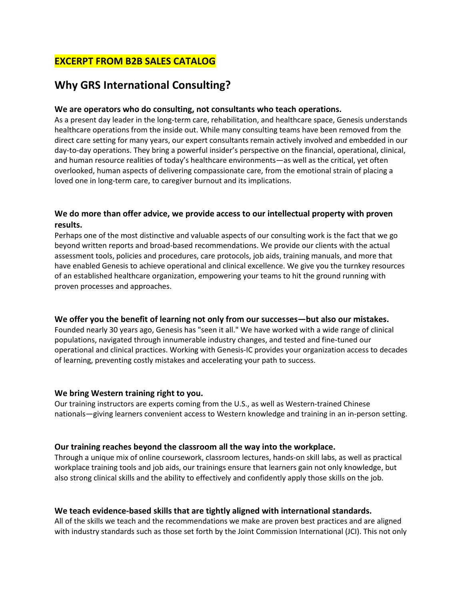## **EXCERPT FROM B2B SALES CATALOG**

# **Why GRS International Consulting?**

#### **We are operators who do consulting, not consultants who teach operations.**

As a present day leader in the long-term care, rehabilitation, and healthcare space, Genesis understands healthcare operations from the inside out. While many consulting teams have been removed from the direct care setting for many years, our expert consultants remain actively involved and embedded in our day-to-day operations. They bring a powerful insider's perspective on the financial, operational, clinical, and human resource realities of today's healthcare environments—as well as the critical, yet often overlooked, human aspects of delivering compassionate care, from the emotional strain of placing a loved one in long-term care, to caregiver burnout and its implications.

### **We do more than offer advice, we provide access to our intellectual property with proven results.**

Perhaps one of the most distinctive and valuable aspects of our consulting work is the fact that we go beyond written reports and broad-based recommendations. We provide our clients with the actual assessment tools, policies and procedures, care protocols, job aids, training manuals, and more that have enabled Genesis to achieve operational and clinical excellence. We give you the turnkey resources of an established healthcare organization, empowering your teams to hit the ground running with proven processes and approaches.

#### **We offer you the benefit of learning not only from our successes—but also our mistakes.**

Founded nearly 30 years ago, Genesis has "seen it all." We have worked with a wide range of clinical populations, navigated through innumerable industry changes, and tested and fine-tuned our operational and clinical practices. Working with Genesis-IC provides your organization access to decades of learning, preventing costly mistakes and accelerating your path to success.

#### **We bring Western training right to you.**

Our training instructors are experts coming from the U.S., as well as Western-trained Chinese nationals—giving learners convenient access to Western knowledge and training in an in-person setting.

#### **Our training reaches beyond the classroom all the way into the workplace.**

Through a unique mix of online coursework, classroom lectures, hands-on skill labs, as well as practical workplace training tools and job aids, our trainings ensure that learners gain not only knowledge, but also strong clinical skills and the ability to effectively and confidently apply those skills on the job.

#### **We teach evidence-based skills that are tightly aligned with international standards.**

All of the skills we teach and the recommendations we make are proven best practices and are aligned with industry standards such as those set forth by the Joint Commission International (JCI). This not only